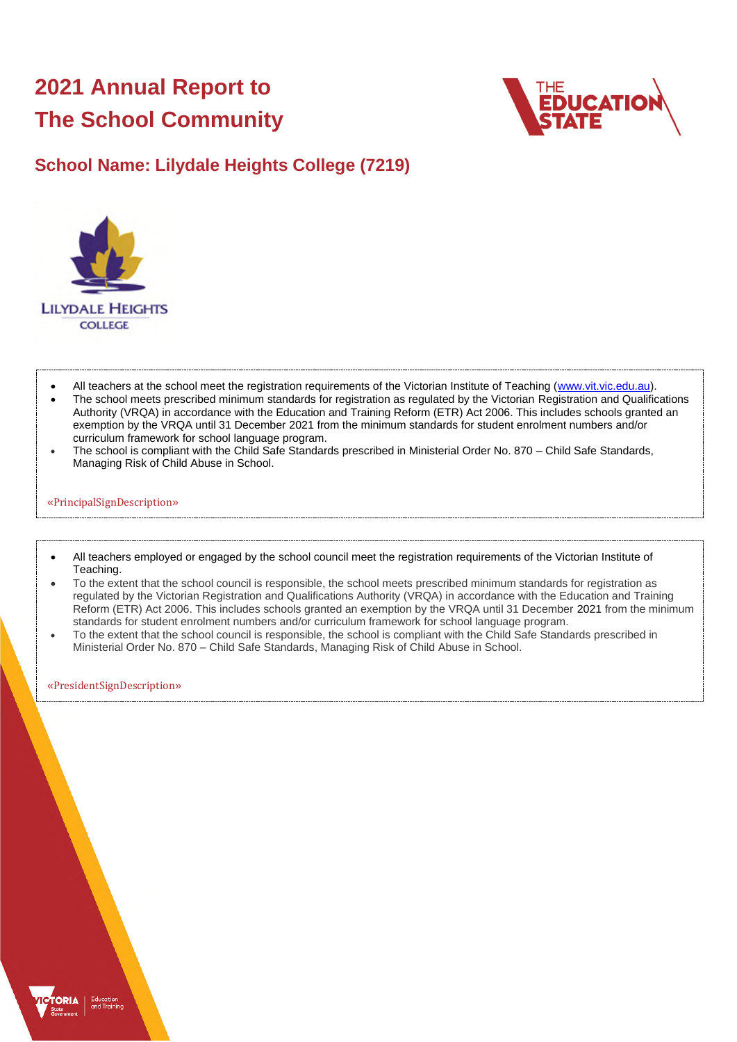# **2021 Annual Report to The School Community**



### **School Name: Lilydale Heights College (7219)**



- All teachers at the school meet the registration requirements of the Victorian Institute of Teaching [\(www.vit.vic.edu.au\)](https://www.vit.vic.edu.au/).
- The school meets prescribed minimum standards for registration as regulated by the Victorian Registration and Qualifications Authority (VRQA) in accordance with the Education and Training Reform (ETR) Act 2006. This includes schools granted an exemption by the VRQA until 31 December 2021 from the minimum standards for student enrolment numbers and/or curriculum framework for school language program.
- The school is compliant with the Child Safe Standards prescribed in Ministerial Order No. 870 Child Safe Standards, Managing Risk of Child Abuse in School.

#### «PrincipalSignDescription»

- All teachers employed or engaged by the school council meet the registration requirements of the Victorian Institute of Teaching.
- To the extent that the school council is responsible, the school meets prescribed minimum standards for registration as regulated by the Victorian Registration and Qualifications Authority (VRQA) in accordance with the Education and Training Reform (ETR) Act 2006. This includes schools granted an exemption by the VRQA until 31 December 2021 from the minimum standards for student enrolment numbers and/or curriculum framework for school language program.
- To the extent that the school council is responsible, the school is compliant with the Child Safe Standards prescribed in Ministerial Order No. 870 – Child Safe Standards, Managing Risk of Child Abuse in School.

«PresidentSignDescription»

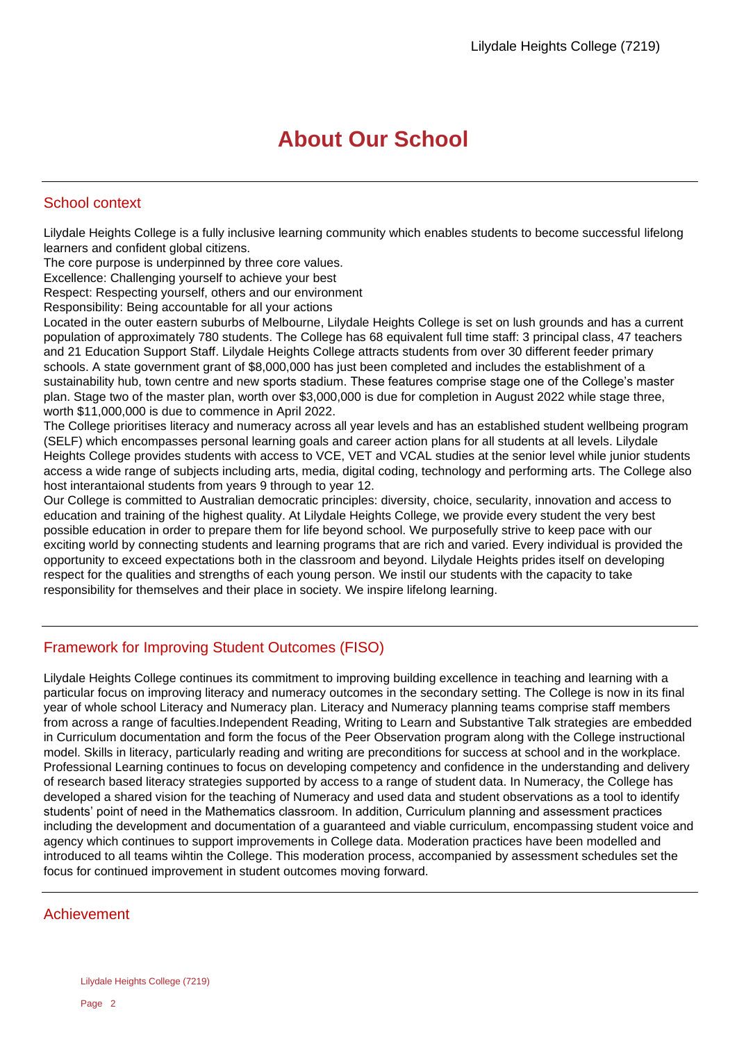## **About Our School**

#### School context

Lilydale Heights College is a fully inclusive learning community which enables students to become successful lifelong learners and confident global citizens.

The core purpose is underpinned by three core values.

Excellence: Challenging yourself to achieve your best

Respect: Respecting yourself, others and our environment

Responsibility: Being accountable for all your actions

Located in the outer eastern suburbs of Melbourne, Lilydale Heights College is set on lush grounds and has a current population of approximately 780 students. The College has 68 equivalent full time staff: 3 principal class, 47 teachers and 21 Education Support Staff. Lilydale Heights College attracts students from over 30 different feeder primary schools. A state government grant of \$8,000,000 has just been completed and includes the establishment of a sustainability hub, town centre and new sports stadium. These features comprise stage one of the College's master plan. Stage two of the master plan, worth over \$3,000,000 is due for completion in August 2022 while stage three, worth \$11,000,000 is due to commence in April 2022.

The College prioritises literacy and numeracy across all year levels and has an established student wellbeing program (SELF) which encompasses personal learning goals and career action plans for all students at all levels. Lilydale Heights College provides students with access to VCE, VET and VCAL studies at the senior level while junior students access a wide range of subjects including arts, media, digital coding, technology and performing arts. The College also host interantaional students from years 9 through to year 12.

Our College is committed to Australian democratic principles: diversity, choice, secularity, innovation and access to education and training of the highest quality. At Lilydale Heights College, we provide every student the very best possible education in order to prepare them for life beyond school. We purposefully strive to keep pace with our exciting world by connecting students and learning programs that are rich and varied. Every individual is provided the opportunity to exceed expectations both in the classroom and beyond. Lilydale Heights prides itself on developing respect for the qualities and strengths of each young person. We instil our students with the capacity to take responsibility for themselves and their place in society. We inspire lifelong learning.

#### Framework for Improving Student Outcomes (FISO)

Lilydale Heights College continues its commitment to improving building excellence in teaching and learning with a particular focus on improving literacy and numeracy outcomes in the secondary setting. The College is now in its final year of whole school Literacy and Numeracy plan. Literacy and Numeracy planning teams comprise staff members from across a range of faculties.Independent Reading, Writing to Learn and Substantive Talk strategies are embedded in Curriculum documentation and form the focus of the Peer Observation program along with the College instructional model. Skills in literacy, particularly reading and writing are preconditions for success at school and in the workplace. Professional Learning continues to focus on developing competency and confidence in the understanding and delivery of research based literacy strategies supported by access to a range of student data. In Numeracy, the College has developed a shared vision for the teaching of Numeracy and used data and student observations as a tool to identify students' point of need in the Mathematics classroom. In addition, Curriculum planning and assessment practices including the development and documentation of a guaranteed and viable curriculum, encompassing student voice and agency which continues to support improvements in College data. Moderation practices have been modelled and introduced to all teams wihtin the College. This moderation process, accompanied by assessment schedules set the focus for continued improvement in student outcomes moving forward.

#### Achievement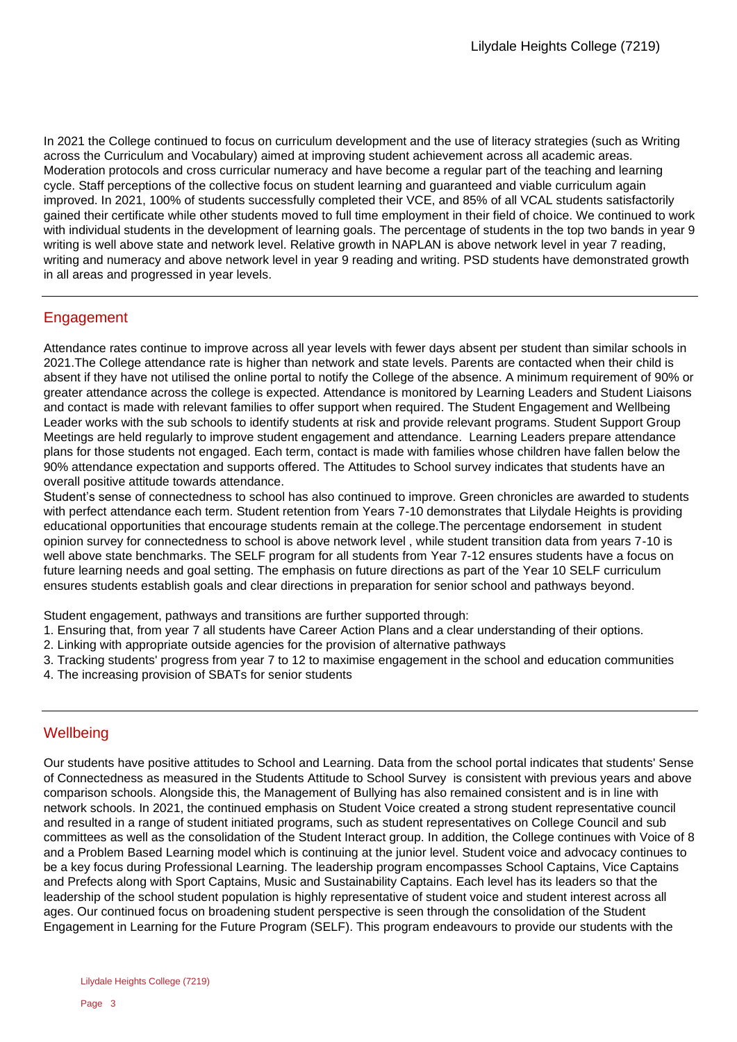In 2021 the College continued to focus on curriculum development and the use of literacy strategies (such as Writing across the Curriculum and Vocabulary) aimed at improving student achievement across all academic areas. Moderation protocols and cross curricular numeracy and have become a regular part of the teaching and learning cycle. Staff perceptions of the collective focus on student learning and guaranteed and viable curriculum again improved. In 2021, 100% of students successfully completed their VCE, and 85% of all VCAL students satisfactorily gained their certificate while other students moved to full time employment in their field of choice. We continued to work with individual students in the development of learning goals. The percentage of students in the top two bands in year 9 writing is well above state and network level. Relative growth in NAPLAN is above network level in year 7 reading, writing and numeracy and above network level in year 9 reading and writing. PSD students have demonstrated growth in all areas and progressed in year levels.

#### Engagement

Attendance rates continue to improve across all year levels with fewer days absent per student than similar schools in 2021.The College attendance rate is higher than network and state levels. Parents are contacted when their child is absent if they have not utilised the online portal to notify the College of the absence. A minimum requirement of 90% or greater attendance across the college is expected. Attendance is monitored by Learning Leaders and Student Liaisons and contact is made with relevant families to offer support when required. The Student Engagement and Wellbeing Leader works with the sub schools to identify students at risk and provide relevant programs. Student Support Group Meetings are held regularly to improve student engagement and attendance. Learning Leaders prepare attendance plans for those students not engaged. Each term, contact is made with families whose children have fallen below the 90% attendance expectation and supports offered. The Attitudes to School survey indicates that students have an overall positive attitude towards attendance.

Student's sense of connectedness to school has also continued to improve. Green chronicles are awarded to students with perfect attendance each term. Student retention from Years 7-10 demonstrates that Lilydale Heights is providing educational opportunities that encourage students remain at the college.The percentage endorsement in student opinion survey for connectedness to school is above network level , while student transition data from years 7-10 is well above state benchmarks. The SELF program for all students from Year 7-12 ensures students have a focus on future learning needs and goal setting. The emphasis on future directions as part of the Year 10 SELF curriculum ensures students establish goals and clear directions in preparation for senior school and pathways beyond.

Student engagement, pathways and transitions are further supported through:

- 1. Ensuring that, from year 7 all students have Career Action Plans and a clear understanding of their options.
- 2. Linking with appropriate outside agencies for the provision of alternative pathways
- 3. Tracking students' progress from year 7 to 12 to maximise engagement in the school and education communities
- 4. The increasing provision of SBATs for senior students

### **Wellbeing**

Our students have positive attitudes to School and Learning. Data from the school portal indicates that students' Sense of Connectedness as measured in the Students Attitude to School Survey is consistent with previous years and above comparison schools. Alongside this, the Management of Bullying has also remained consistent and is in line with network schools. In 2021, the continued emphasis on Student Voice created a strong student representative council and resulted in a range of student initiated programs, such as student representatives on College Council and sub committees as well as the consolidation of the Student Interact group. In addition, the College continues with Voice of 8 and a Problem Based Learning model which is continuing at the junior level. Student voice and advocacy continues to be a key focus during Professional Learning. The leadership program encompasses School Captains, Vice Captains and Prefects along with Sport Captains, Music and Sustainability Captains. Each level has its leaders so that the leadership of the school student population is highly representative of student voice and student interest across all ages. Our continued focus on broadening student perspective is seen through the consolidation of the Student Engagement in Learning for the Future Program (SELF). This program endeavours to provide our students with the